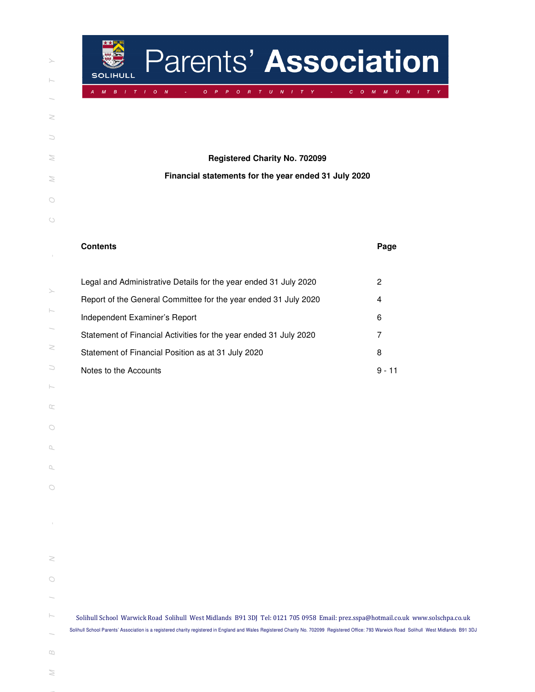| ⋋                                                                                                                                 |
|-----------------------------------------------------------------------------------------------------------------------------------|
| $\vdash$                                                                                                                          |
|                                                                                                                                   |
| Z                                                                                                                                 |
| $\cup$                                                                                                                            |
| $\geq$                                                                                                                            |
| $\geq$                                                                                                                            |
| $\bigcirc$                                                                                                                        |
| $\circ$                                                                                                                           |
| $\begin{array}{c} \begin{array}{c} \begin{array}{c} \begin{array}{c} \end{array} \end{array} \end{array} \end{array} \end{array}$ |
|                                                                                                                                   |
| ⋋                                                                                                                                 |
| $\vdash$                                                                                                                          |
| $\geq$                                                                                                                            |
| C                                                                                                                                 |
| ŀ                                                                                                                                 |
| œ                                                                                                                                 |
| $\bigcirc$                                                                                                                        |
| $\Box$                                                                                                                            |
| Q,                                                                                                                                |
| $\cup$<br>C                                                                                                                       |
| I                                                                                                                                 |
|                                                                                                                                   |
| 2                                                                                                                                 |
| $\circ$                                                                                                                           |
|                                                                                                                                   |
| ŀ                                                                                                                                 |
| $\Box$                                                                                                                            |
| ≋                                                                                                                                 |
|                                                                                                                                   |

| Parents' Association<br>SOLIHULL                                                                                                                                                                                                                                                                                                  |                                               |
|-----------------------------------------------------------------------------------------------------------------------------------------------------------------------------------------------------------------------------------------------------------------------------------------------------------------------------------|-----------------------------------------------|
| $\boldsymbol{M}$<br>$B \cup I \cup T$<br>$\mathbf{o}$<br>$T$ U N I T Y<br>$\sim I$<br>$\boldsymbol{N}$<br>$\circ$<br>$\circ$<br>R<br>P<br>P<br>A                                                                                                                                                                                  | M M U N I T Y<br>$\mathbf{C}$<br>$\mathbf{O}$ |
| <b>Registered Charity No. 702099</b><br>Financial statements for the year ended 31 July 2020                                                                                                                                                                                                                                      |                                               |
| <b>Contents</b>                                                                                                                                                                                                                                                                                                                   | Page                                          |
| Legal and Administrative Details for the year ended 31 July 2020<br>Report of the General Committee for the year ended 31 July 2020<br>Independent Examiner's Report                                                                                                                                                              | 2<br>$\overline{4}$<br>6                      |
| Statement of Financial Activities for the year ended 31 July 2020<br>Statement of Financial Position as at 31 July 2020<br>Notes to the Accounts                                                                                                                                                                                  | 7<br>8<br>$9 - 11$                            |
|                                                                                                                                                                                                                                                                                                                                   |                                               |
|                                                                                                                                                                                                                                                                                                                                   |                                               |
|                                                                                                                                                                                                                                                                                                                                   |                                               |
| Solihull School Warwick Road Solihull West Midlands B91 3DJ Tel: 0121 705 0958 Email: prez.sspa@hotmail.co.uk www.solschpa.co.uk<br>Solihull School Parents' Association is a registered charity registered in England and Wales Registered Charity No. 702099 Registered Office: 793 Warwick Road Solihull West Midlands B91 3DJ |                                               |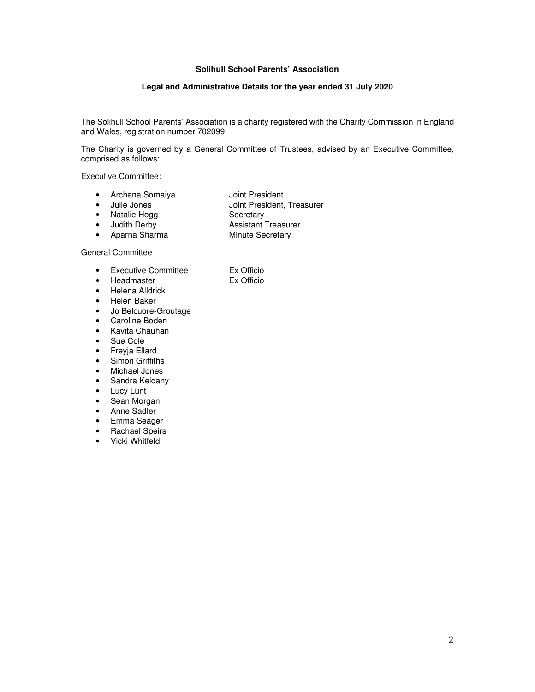# **Legal and Administrative Details for the year ended 31 July 2020**

The Solihull School Parents' Association is a charity registered with the Charity Commission in England and Wales, registration number 702099.

The Charity is governed by a General Committee of Trustees, advised by an Executive Committee, comprised as follows:

Executive Committee:

- Archana Somaiya **Joint President** 
	-
- Julie Jones Joint President, Treasurer
- Natalie Hogg Secretary
- Judith Derby Assistant Treasurer
- Aparna Sharma Minute Secretary

#### General Committee

- Executive Committee Ex Officio
- Headmaster Ex Officio
	-
- Helena Alldrick
- Helen Baker
- Jo Belcuore-Groutage
- Caroline Boden
- Kavita Chauhan
- Sue Cole
- Freyja Ellard
- Simon Griffiths
- Michael Jones
- Sandra Keldany
- Lucy Lunt
- Sean Morgan
- Anne Sadler
- Emma Seager
- Rachael Speirs
- Vicki Whitfeld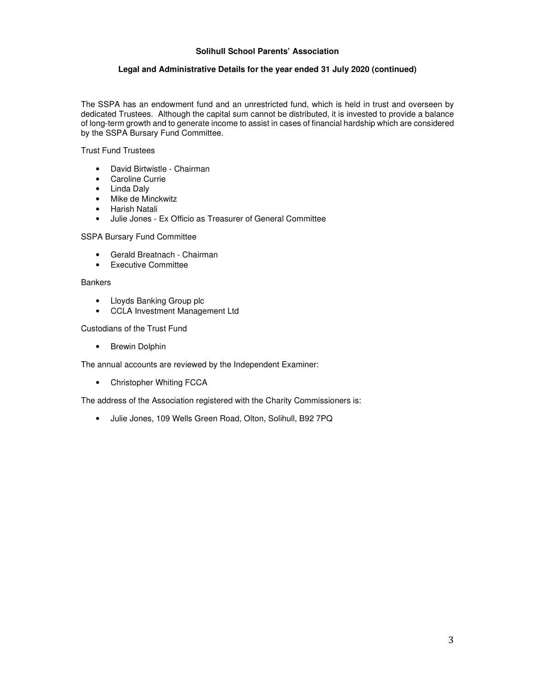## **Legal and Administrative Details for the year ended 31 July 2020 (continued)**

The SSPA has an endowment fund and an unrestricted fund, which is held in trust and overseen by dedicated Trustees. Although the capital sum cannot be distributed, it is invested to provide a balance of long-term growth and to generate income to assist in cases of financial hardship which are considered by the SSPA Bursary Fund Committee.

Trust Fund Trustees

- David Birtwistle Chairman
- Caroline Currie
- Linda Daly
- Mike de Minckwitz
- Harish Natali
- Julie Jones Ex Officio as Treasurer of General Committee

SSPA Bursary Fund Committee

- Gerald Breatnach Chairman
- Executive Committee

## **Bankers**

- Lloyds Banking Group plc
- CCLA Investment Management Ltd

Custodians of the Trust Fund

• Brewin Dolphin

The annual accounts are reviewed by the Independent Examiner:

• Christopher Whiting FCCA

The address of the Association registered with the Charity Commissioners is:

• Julie Jones, 109 Wells Green Road, Olton, Solihull, B92 7PQ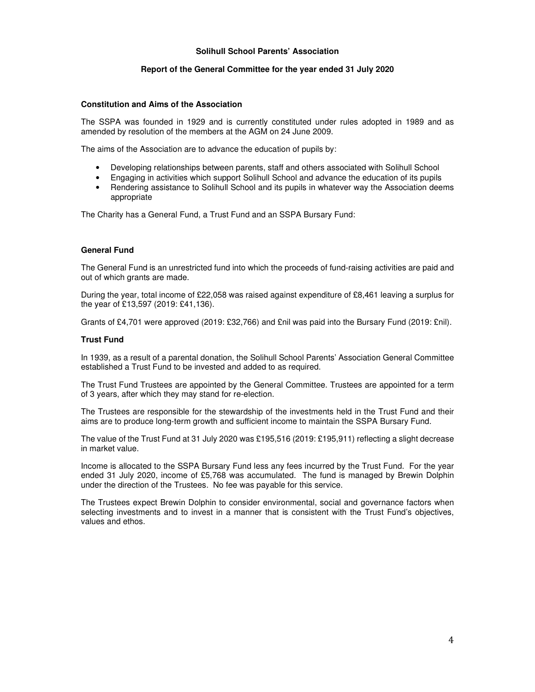#### **Report of the General Committee for the year ended 31 July 2020**

#### **Constitution and Aims of the Association**

The SSPA was founded in 1929 and is currently constituted under rules adopted in 1989 and as amended by resolution of the members at the AGM on 24 June 2009.

The aims of the Association are to advance the education of pupils by:

- Developing relationships between parents, staff and others associated with Solihull School
- Engaging in activities which support Solihull School and advance the education of its pupils
- Rendering assistance to Solihull School and its pupils in whatever way the Association deems appropriate

The Charity has a General Fund, a Trust Fund and an SSPA Bursary Fund:

#### **General Fund**

The General Fund is an unrestricted fund into which the proceeds of fund-raising activities are paid and out of which grants are made.

During the year, total income of £22,058 was raised against expenditure of £8,461 leaving a surplus for the year of £13,597 (2019: £41,136).

Grants of £4,701 were approved (2019: £32,766) and £nil was paid into the Bursary Fund (2019: £nil).

#### **Trust Fund**

In 1939, as a result of a parental donation, the Solihull School Parents' Association General Committee established a Trust Fund to be invested and added to as required.

The Trust Fund Trustees are appointed by the General Committee. Trustees are appointed for a term of 3 years, after which they may stand for re-election.

The Trustees are responsible for the stewardship of the investments held in the Trust Fund and their aims are to produce long-term growth and sufficient income to maintain the SSPA Bursary Fund.

The value of the Trust Fund at 31 July 2020 was £195,516 (2019: £195,911) reflecting a slight decrease in market value.

Income is allocated to the SSPA Bursary Fund less any fees incurred by the Trust Fund. For the year ended 31 July 2020, income of £5,768 was accumulated. The fund is managed by Brewin Dolphin under the direction of the Trustees. No fee was payable for this service.

The Trustees expect Brewin Dolphin to consider environmental, social and governance factors when selecting investments and to invest in a manner that is consistent with the Trust Fund's objectives, values and ethos.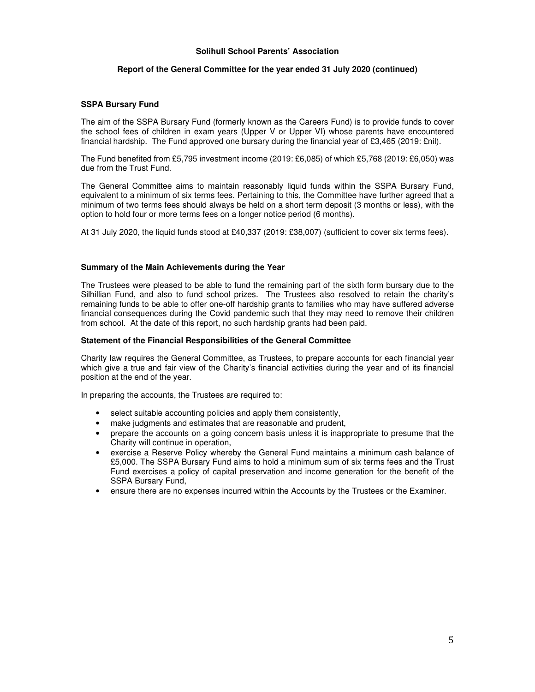#### **Report of the General Committee for the year ended 31 July 2020 (continued)**

#### **SSPA Bursary Fund**

The aim of the SSPA Bursary Fund (formerly known as the Careers Fund) is to provide funds to cover the school fees of children in exam years (Upper V or Upper VI) whose parents have encountered financial hardship. The Fund approved one bursary during the financial year of £3,465 (2019: £nil).

The Fund benefited from £5,795 investment income (2019: £6,085) of which £5,768 (2019: £6,050) was due from the Trust Fund.

The General Committee aims to maintain reasonably liquid funds within the SSPA Bursary Fund, equivalent to a minimum of six terms fees. Pertaining to this, the Committee have further agreed that a minimum of two terms fees should always be held on a short term deposit (3 months or less), with the option to hold four or more terms fees on a longer notice period (6 months).

At 31 July 2020, the liquid funds stood at £40,337 (2019: £38,007) (sufficient to cover six terms fees).

#### **Summary of the Main Achievements during the Year**

The Trustees were pleased to be able to fund the remaining part of the sixth form bursary due to the Silhillian Fund, and also to fund school prizes. The Trustees also resolved to retain the charity's remaining funds to be able to offer one-off hardship grants to families who may have suffered adverse financial consequences during the Covid pandemic such that they may need to remove their children from school. At the date of this report, no such hardship grants had been paid.

#### **Statement of the Financial Responsibilities of the General Committee**

Charity law requires the General Committee, as Trustees, to prepare accounts for each financial year which give a true and fair view of the Charity's financial activities during the year and of its financial position at the end of the year.

In preparing the accounts, the Trustees are required to:

- select suitable accounting policies and apply them consistently,
- make judgments and estimates that are reasonable and prudent,
- prepare the accounts on a going concern basis unless it is inappropriate to presume that the Charity will continue in operation,
- exercise a Reserve Policy whereby the General Fund maintains a minimum cash balance of £5,000. The SSPA Bursary Fund aims to hold a minimum sum of six terms fees and the Trust Fund exercises a policy of capital preservation and income generation for the benefit of the SSPA Bursary Fund,
- ensure there are no expenses incurred within the Accounts by the Trustees or the Examiner.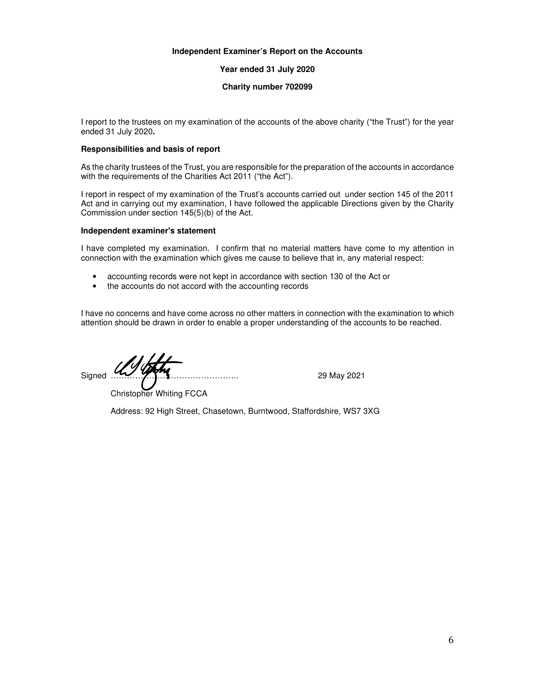### **Independent Examiner's Report on the Accounts**

**Year ended 31 July 2020** 

#### **Charity number 702099**

I report to the trustees on my examination of the accounts of the above charity ("the Trust") for the year ended 31 July 2020**.**

### **Responsibilities and basis of report**

As the charity trustees of the Trust, you are responsible for the preparation of the accounts in accordance with the requirements of the Charities Act 2011 ("the Act").

I report in respect of my examination of the Trust's accounts carried out under section 145 of the 2011 Act and in carrying out my examination, I have followed the applicable Directions given by the Charity Commission under section 145(5)(b) of the Act.

## **Independent examiner's statement**

I have completed my examination. I confirm that no material matters have come to my attention in connection with the examination which gives me cause to believe that in, any material respect:

- accounting records were not kept in accordance with section 130 of the Act or
- the accounts do not accord with the accounting records

I have no concerns and have come across no other matters in connection with the examination to which attention should be drawn in order to enable a proper understanding of the accounts to be reached.

Signed ……………………………………….. 29 May 2021

Christopher Whiting FCCA

Address: 92 High Street, Chasetown, Burntwood, Staffordshire, WS7 3XG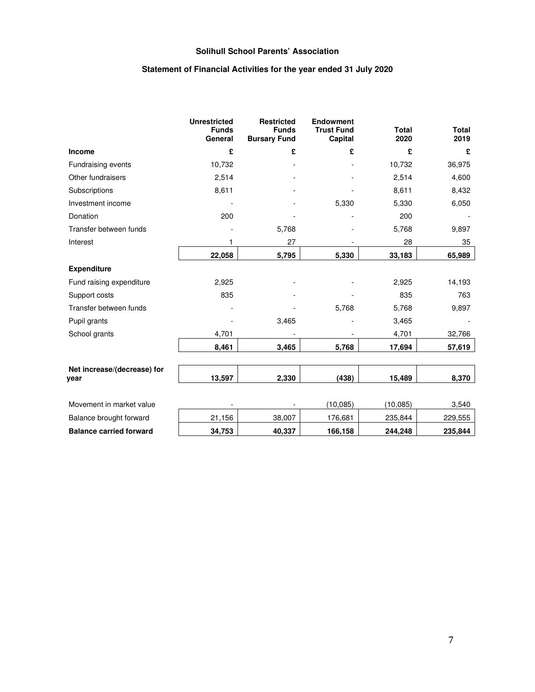# **Statement of Financial Activities for the year ended 31 July 2020**

|                                     | <b>Unrestricted</b><br><b>Funds</b><br>General | <b>Restricted</b><br><b>Funds</b><br><b>Bursary Fund</b> | <b>Endowment</b><br><b>Trust Fund</b><br>Capital | <b>Total</b><br>2020 | <b>Total</b><br>2019 |
|-------------------------------------|------------------------------------------------|----------------------------------------------------------|--------------------------------------------------|----------------------|----------------------|
| Income                              | £                                              | £                                                        | £                                                | £                    | £                    |
| Fundraising events                  | 10,732                                         |                                                          |                                                  | 10,732               | 36,975               |
| Other fundraisers                   | 2,514                                          |                                                          |                                                  | 2,514                | 4,600                |
| Subscriptions                       | 8,611                                          |                                                          |                                                  | 8,611                | 8,432                |
| Investment income                   |                                                |                                                          | 5,330                                            | 5,330                | 6,050                |
| Donation                            | 200                                            |                                                          |                                                  | 200                  |                      |
| Transfer between funds              |                                                | 5,768                                                    |                                                  | 5,768                | 9,897                |
| Interest                            |                                                | 27                                                       |                                                  | 28                   | 35                   |
|                                     | 22,058                                         | 5,795                                                    | 5,330                                            | 33,183               | 65,989               |
| <b>Expenditure</b>                  |                                                |                                                          |                                                  |                      |                      |
| Fund raising expenditure            | 2,925                                          |                                                          |                                                  | 2,925                | 14,193               |
| Support costs                       | 835                                            |                                                          |                                                  | 835                  | 763                  |
| Transfer between funds              |                                                |                                                          | 5,768                                            | 5,768                | 9,897                |
| Pupil grants                        |                                                | 3,465                                                    |                                                  | 3,465                |                      |
| School grants                       | 4,701                                          |                                                          |                                                  | 4,701                | 32,766               |
|                                     | 8,461                                          | 3,465                                                    | 5,768                                            | 17,694               | 57,619               |
|                                     |                                                |                                                          |                                                  |                      |                      |
| Net increase/(decrease) for<br>year | 13,597                                         | 2,330                                                    | (438)                                            | 15,489               | 8,370                |
|                                     |                                                |                                                          |                                                  |                      |                      |
| Movement in market value            |                                                |                                                          | (10, 085)                                        | (10, 085)            | 3,540                |
| Balance brought forward             | 21,156                                         | 38,007                                                   | 176,681                                          | 235,844              | 229,555              |
| <b>Balance carried forward</b>      | 34,753                                         | 40,337                                                   | 166,158                                          | 244,248              | 235,844              |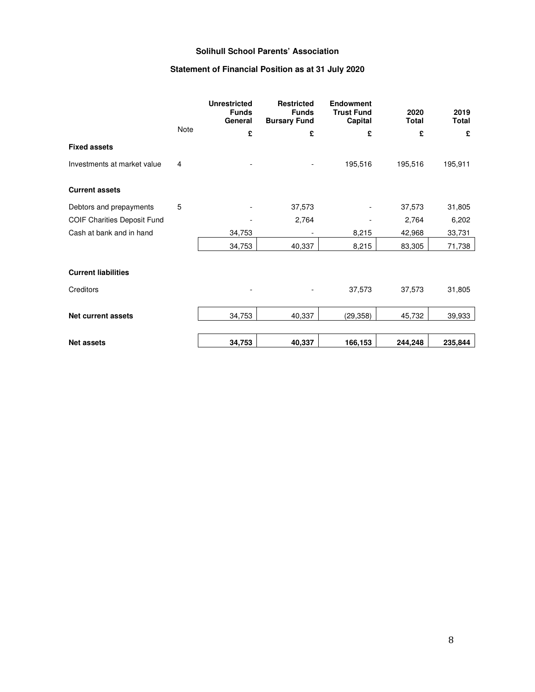# **Statement of Financial Position as at 31 July 2020**

|                                    |      | <b>Unrestricted</b><br><b>Funds</b><br>General | <b>Restricted</b><br><b>Funds</b><br><b>Bursary Fund</b> | <b>Endowment</b><br><b>Trust Fund</b><br>Capital | 2020<br><b>Total</b> | 2019<br><b>Total</b> |
|------------------------------------|------|------------------------------------------------|----------------------------------------------------------|--------------------------------------------------|----------------------|----------------------|
|                                    | Note | £                                              | £                                                        | £                                                | £                    | £                    |
| <b>Fixed assets</b>                |      |                                                |                                                          |                                                  |                      |                      |
| Investments at market value        | 4    |                                                |                                                          | 195,516                                          | 195,516              | 195,911              |
| <b>Current assets</b>              |      |                                                |                                                          |                                                  |                      |                      |
| Debtors and prepayments            | 5    |                                                | 37,573                                                   |                                                  | 37,573               | 31,805               |
| <b>COIF Charities Deposit Fund</b> |      |                                                | 2,764                                                    |                                                  | 2,764                | 6,202                |
| Cash at bank and in hand           |      | 34,753                                         |                                                          | 8,215                                            | 42,968               | 33,731               |
|                                    |      | 34,753                                         | 40,337                                                   | 8,215                                            | 83,305               | 71,738               |
| <b>Current liabilities</b>         |      |                                                |                                                          |                                                  |                      |                      |
| Creditors                          |      |                                                |                                                          | 37,573                                           | 37,573               | 31,805               |
| <b>Net current assets</b>          |      | 34,753                                         | 40,337                                                   | (29, 358)                                        | 45,732               | 39,933               |
| <b>Net assets</b>                  |      | 34,753                                         | 40,337                                                   | 166,153                                          | 244,248              | 235,844              |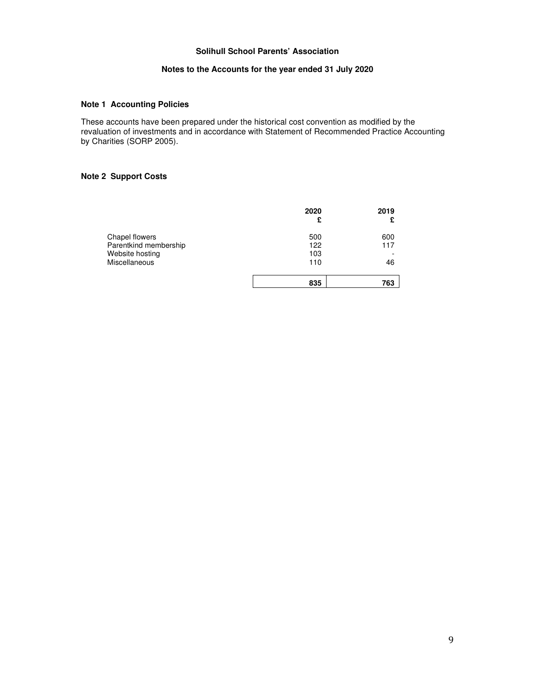## **Notes to the Accounts for the year ended 31 July 2020**

## **Note 1 Accounting Policies**

These accounts have been prepared under the historical cost convention as modified by the revaluation of investments and in accordance with Statement of Recommended Practice Accounting by Charities (SORP 2005).

## **Note 2 Support Costs**

|                       | 2020<br>£ | 2019<br>£ |
|-----------------------|-----------|-----------|
| Chapel flowers        | 500       | 600       |
| Parentkind membership | 122       | 117       |
| Website hosting       | 103       | -         |
| Miscellaneous         | 110       | 46        |
|                       | 835       | 763       |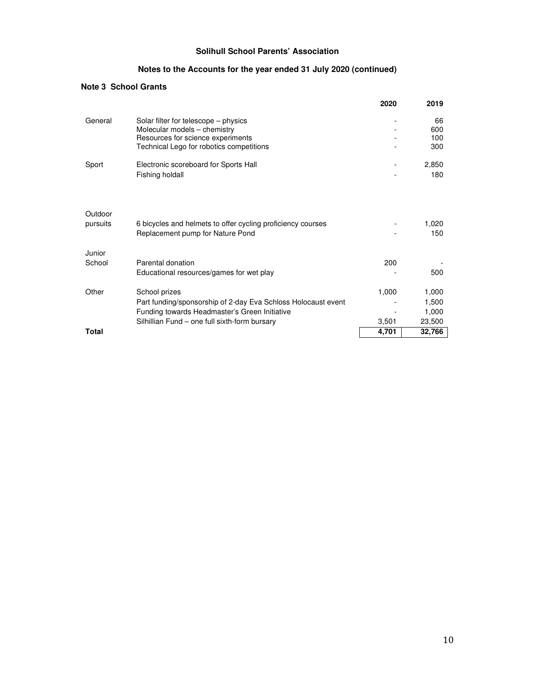# **Notes to the Accounts for the year ended 31 July 2020 (continued)**

# **Note 3 School Grants**

|                     |                                                                                                                                                                                  | 2020           | 2019                              |
|---------------------|----------------------------------------------------------------------------------------------------------------------------------------------------------------------------------|----------------|-----------------------------------|
| General             | Solar filter for telescope - physics<br>Molecular models - chemistry<br>Resources for science experiments<br>Technical Lego for robotics competitions                            |                | 66<br>600<br>100<br>300           |
| Sport               | Electronic scoreboard for Sports Hall<br>Fishing holdall                                                                                                                         |                | 2,850<br>180                      |
| Outdoor<br>pursuits | 6 bicycles and helmets to offer cycling proficiency courses<br>Replacement pump for Nature Pond                                                                                  |                | 1,020<br>150                      |
| Junior<br>School    | Parental donation<br>Educational resources/games for wet play                                                                                                                    | 200            | 500                               |
| Other               | School prizes<br>Part funding/sponsorship of 2-day Eva Schloss Holocaust event<br>Funding towards Headmaster's Green Initiative<br>Silhillian Fund - one full sixth-form bursary | 1,000<br>3,501 | 1,000<br>1,500<br>1,000<br>23,500 |
| <b>Total</b>        |                                                                                                                                                                                  | 4,701          | 32,766                            |